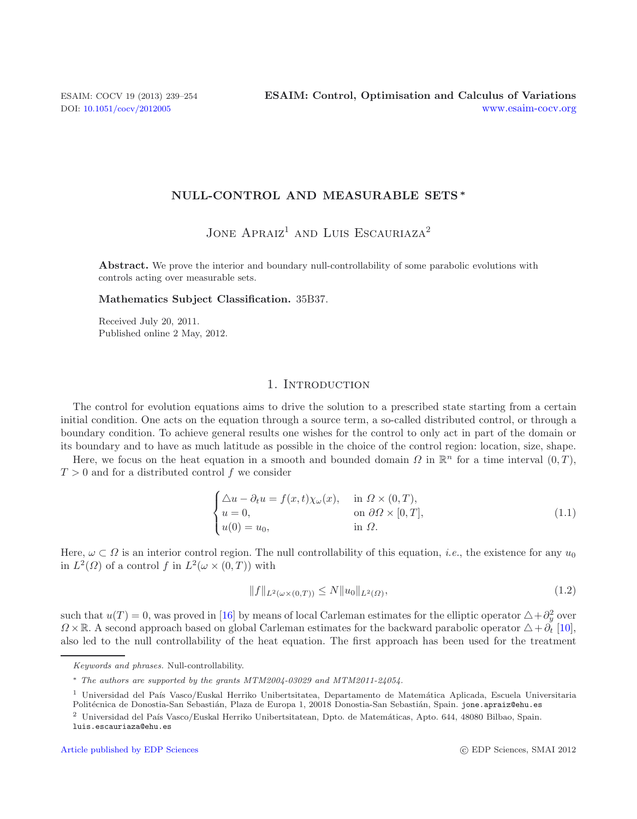# **NULL-CONTROL AND MEASURABLE SETS** *∗*

<span id="page-0-1"></span>JONE  $APRAIZ<sup>1</sup>$  AND LUIS ESCAURIAZA<sup>2</sup>

Abstract. We prove the interior and boundary null-controllability of some parabolic evolutions with controls acting over measurable sets.

#### **Mathematics Subject Classification.** 35B37.

Received July 20, 2011. Published online 2 May, 2012.

### <span id="page-0-0"></span>1. INTRODUCTION

The control for evolution equations aims to drive the solution to a prescribed state starting from a certain initial condition. One acts on the equation through a source term, a so-called distributed control, or through a boundary condition. To achieve general results one wishes for the control to only act in part of the domain or its boundary and to have as much latitude as possible in the choice of the control region: location, size, shape.

Here, we focus on the heat equation in a smooth and bounded domain  $\Omega$  in  $\mathbb{R}^n$  for a time interval  $(0, T)$ ,  $T > 0$  and for a distributed control f we consider

$$
\begin{cases}\n\Delta u - \partial_t u = f(x, t)\chi_\omega(x), & \text{in } \Omega \times (0, T), \\
u = 0, & \text{on } \partial\Omega \times [0, T], \\
u(0) = u_0, & \text{in } \Omega.\n\end{cases}
$$
\n(1.1)

Here,  $\omega \subset \Omega$  is an interior control region. The null controllability of this equation, *i.e.*, the existence for any  $u_0$ in  $L^2(\Omega)$  of a control f in  $L^2(\omega \times (0,T))$  with

$$
||f||_{L^{2}(\omega \times (0,T))} \le N||u_{0}||_{L^{2}(\Omega)}, \tag{1.2}
$$

such that  $u(T) = 0$ , was proved in [\[16\]](#page-14-0) by means of local Carleman estimates for the elliptic operator  $\triangle + \partial_y^2$  over  $\Omega \times \mathbb{R}$ . A second approach based on global Carleman estimates for the backward parabolic operator  $\Delta + \tilde{\partial_t}$  [\[10](#page-14-1)], also led to the null controllability of the heat equation. The first approach has been used for the treatment

Keywords and phrases. Null-controllability.

<sup>∗</sup> The authors are supported by the grants MTM2004-03029 and MTM2011-24054.

<sup>&</sup>lt;sup>1</sup> Universidad del País Vasco/Euskal Herriko Unibertsitatea, Departamento de Matemática Aplicada, Escuela Universitaria Politécnica de Donostia-San Sebastián, Plaza de Europa 1, 20018 Donostia-San Sebastián, Spain. jone.apraiz@ehu.es

 $2$  Universidad del País Vasco/Euskal Herriko Unibertsitatean, Dpto. de Matemáticas, Apto. 644, 48080 Bilbao, Spain.

luis.escauriaza@ehu.es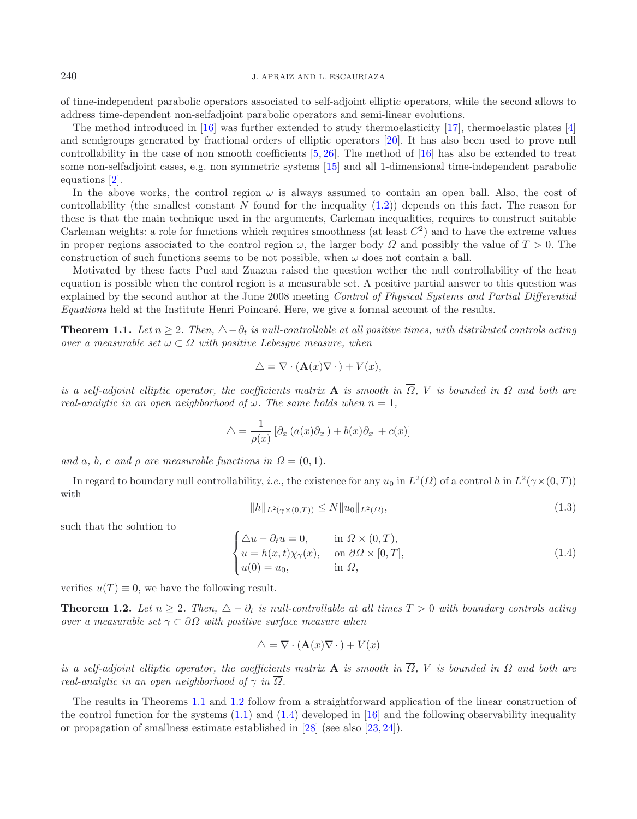240 J. APRAIZ AND L. ESCAURIAZA

of time-independent parabolic operators associated to self-adjoint elliptic operators, while the second allows to address time-dependent non-selfadjoint parabolic operators and semi-linear evolutions.

The method introduced in [\[16\]](#page-14-0) was further extended to study thermoelasticity [\[17](#page-14-2)], thermoelastic plates [\[4\]](#page-14-3) and semigroups generated by fractional orders of elliptic operators [\[20\]](#page-14-4). It has also been used to prove null controllability in the case of non smooth coefficients  $[5, 26]$  $[5, 26]$  $[5, 26]$  $[5, 26]$ . The method of  $[16]$  $[16]$  has also be extended to treat some non-selfadjoint cases, e.g. non symmetric systems [\[15](#page-14-6)] and all 1-dimensional time-independent parabolic equations [\[2](#page-14-7)].

In the above works, the control region  $\omega$  is always assumed to contain an open ball. Also, the cost of controllability (the smallest constant N found for the inequality  $(1.2)$ ) depends on this fact. The reason for these is that the main technique used in the arguments, Carleman inequalities, requires to construct suitable Carleman weights: a role for functions which requires smoothness (at least  $C<sup>2</sup>$ ) and to have the extreme values in proper regions associated to the control region  $\omega$ , the larger body  $\Omega$  and possibly the value of  $T > 0$ . The construction of such functions seems to be not possible, when  $\omega$  does not contain a ball.

Motivated by these facts Puel and Zuazua raised the question wether the null controllability of the heat equation is possible when the control region is a measurable set. A positive partial answer to this question was explained by the second author at the June 2008 meeting *Control of Physical Systems and Partial Differential Equations* held at the Institute Henri Poincaré. Here, we give a formal account of the results.

<span id="page-1-4"></span>**Theorem 1.1.** *Let*  $n \geq 2$ . Then,  $\triangle - \partial_t$  is null-controllable at all positive times, with distributed controls acting *over a measurable set*  $\omega \subset \Omega$  *with positive Lebesque measure, when* 

<span id="page-1-0"></span>
$$
\triangle = \nabla \cdot (\mathbf{A}(x)\nabla \cdot) + V(x),
$$

<span id="page-1-2"></span>*is a self-adjoint elliptic operator, the coefficients matrix* **A** *is smooth in*  $\overline{\Omega}$ , *V is bounded in*  $\Omega$  *and both are real-analytic in an open neighborhood of*  $\omega$ . The same holds when  $n = 1$ ,

<span id="page-1-1"></span>
$$
\triangle = \frac{1}{\rho(x)} \left[ \partial_x \left( a(x) \partial_x \right) + b(x) \partial_x + c(x) \right]
$$

*and* a, b, c and  $\rho$  are measurable functions in  $\Omega = (0, 1)$ .

In regard to boundary null controllability, *i.e.*, the existence for any  $u_0$  in  $L^2(\Omega)$  of a control h in  $L^2(\gamma \times (0,T))$ with

<span id="page-1-3"></span>
$$
||h||_{L^{2}(\gamma \times (0,T))} \le N||u_{0}||_{L^{2}(\Omega)},
$$
\n(1.3)

such that the solution to

$$
\begin{cases}\n\Delta u - \partial_t u = 0, & \text{in } \Omega \times (0, T), \\
u = h(x, t)\chi_\gamma(x), & \text{on } \partial\Omega \times [0, T], \\
u(0) = u_0, & \text{in } \Omega,\n\end{cases}
$$
\n(1.4)

verifies  $u(T) \equiv 0$ , we have the following result.

**Theorem 1.2.** Let  $n \geq 2$ . Then,  $\Delta - \partial_t$  is null-controllable at all times  $T > 0$  with boundary controls acting *over a measurable set*  $\gamma \subset \partial \Omega$  *with positive surface measure when* 

$$
\triangle = \nabla \cdot (\mathbf{A}(x)\nabla \cdot) + V(x)
$$

*is a self-adjoint elliptic operator, the coefficients matrix* **A** *is smooth in*  $\overline{\Omega}$ , *V is bounded in*  $\Omega$  *and both are real-analytic in an open neighborhood of*  $\gamma$  *in*  $\overline{\Omega}$ *.* 

The results in Theorems [1.1](#page-1-0) and [1.2](#page-1-1) follow from a straightforward application of the linear construction of the control function for the systems  $(1.1)$  and  $(1.4)$  developed in [\[16\]](#page-14-0) and the following observability inequality or propagation of smallness estimate established in [\[28\]](#page-15-1) (see also [\[23,](#page-14-8) [24\]](#page-15-2)).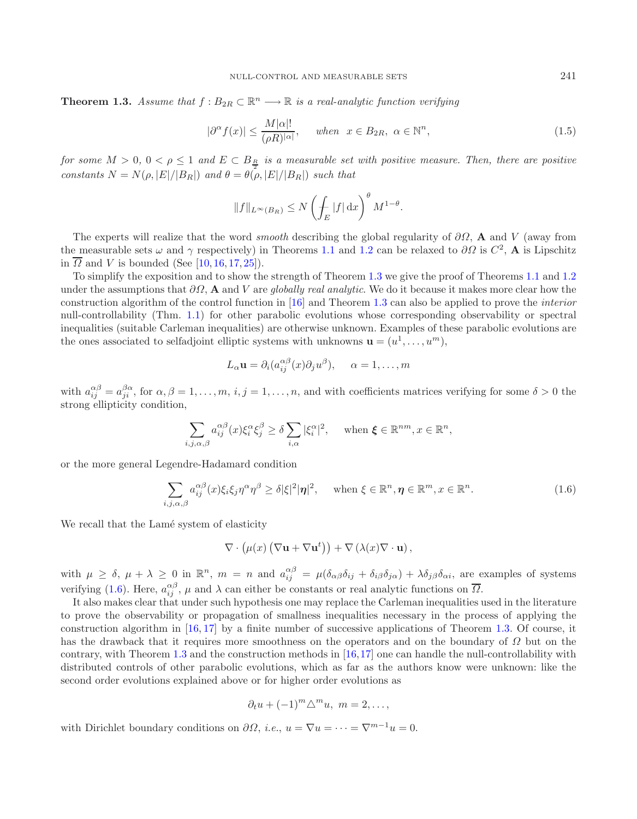**Theorem 1.3.** *Assume that*  $f : B_{2R} \subset \mathbb{R}^n \longrightarrow \mathbb{R}$  *is a real-analytic function verifying* 

<span id="page-2-1"></span>
$$
|\partial^{\alpha} f(x)| \le \frac{M|\alpha|!}{(\rho R)^{|\alpha|}}, \quad when \quad x \in B_{2R}, \quad \alpha \in \mathbb{N}^n,
$$
\n(1.5)

*for some*  $M > 0$ ,  $0 < \rho \leq 1$  and  $E \subset B_{\frac{R}{a}}$  is a measurable set with positive measure. Then, there are positive  $\hat{P}_{\text{}1}$  *constants*  $N = N(\rho, |E|/|B_R|)$  *and*  $\theta = \theta(\rho, |E|/|B_R|)$  *such that* 

$$
||f||_{L^{\infty}(B_R)} \leq N \left(\int_E |f| \,dx\right)^{\theta} M^{1-\theta}.
$$

The experts will realize that the word *smooth* describing the global regularity of ∂Ω, **A** and V (away from the measurable sets  $\omega$  and  $\gamma$  respectively) in Theorems [1.1](#page-1-0) and [1.2](#page-1-1) can be relaxed to  $\partial\Omega$  is  $C^2$ , **A** is Lipschitz in  $\overline{\Omega}$  and V is bounded (See [\[10,](#page-14-1) [16,](#page-14-0) [17,](#page-14-2) [25\]](#page-15-3)).

To simplify the exposition and to show the strength of Theorem [1.3](#page-1-3) we give the proof of Theorems [1.1](#page-1-0) and [1.2](#page-1-1) under the assumptions that ∂Ω, **A** and V are *globally real analytic*. We do it because it makes more clear how the construction algorithm of the control function in [\[16\]](#page-14-0) and Theorem [1.3](#page-1-3) can also be applied to prove the *interior* null-controllability (Thm. [1.1\)](#page-1-0) for other parabolic evolutions whose corresponding observability or spectral inequalities (suitable Carleman inequalities) are otherwise unknown. Examples of these parabolic evolutions are the ones associated to selfadjoint elliptic systems with unknowns  $\mathbf{u} = (u^1, \ldots, u^m)$ ,

<span id="page-2-0"></span>
$$
L_{\alpha}\mathbf{u} = \partial_i (a_{ij}^{\alpha\beta}(x)\partial_j u^{\beta}), \quad \alpha = 1, \dots, m
$$

with  $a_{ij}^{\alpha\beta} = a_{ji}^{\beta\alpha}$ , for  $\alpha, \beta = 1, \ldots, m, i, j = 1, \ldots, n$ , and with coefficients matrices verifying for some  $\delta > 0$  the strong ellipticity condition,

$$
\sum_{i,j,\alpha,\beta} a_{ij}^{\alpha\beta}(x)\xi_i^{\alpha}\xi_j^{\beta} \ge \delta \sum_{i,\alpha} |\xi_i^{\alpha}|^2, \quad \text{when } \xi \in \mathbb{R}^{nm}, x \in \mathbb{R}^n,
$$

or the more general Legendre-Hadamard condition

$$
\sum_{i,j,\alpha,\beta} a_{ij}^{\alpha\beta}(x)\xi_i\xi_j\eta^{\alpha}\eta^{\beta} \geq \delta|\xi|^2|\eta|^2, \quad \text{when } \xi \in \mathbb{R}^n, \eta \in \mathbb{R}^m, x \in \mathbb{R}^n.
$$
 (1.6)

We recall that the Lamé system of elasticity

$$
\nabla \cdot (\mu(x) (\nabla \mathbf{u} + \nabla \mathbf{u}^t)) + \nabla (\lambda(x) \nabla \cdot \mathbf{u}),
$$

with  $\mu \geq \delta$ ,  $\mu + \lambda \geq 0$  in  $\mathbb{R}^n$ ,  $m = n$  and  $a_{ij}^{\alpha\beta} = \mu(\delta_{\alpha\beta}\delta_{ij} + \delta_{i\beta}\delta_{j\alpha}) + \lambda\delta_{j\beta}\delta_{\alpha i}$ , are examples of systems verifying [\(1.6\)](#page-2-0). Here,  $a_{ij}^{\alpha\beta}$ ,  $\mu$  and  $\lambda$  can either be constants or real analytic functions on  $\overline{\Omega}$ .

It also makes clear that under such hypothesis one may replace the Carleman inequalities used in the literature to prove the observability or propagation of smallness inequalities necessary in the process of applying the construction algorithm in [\[16,](#page-14-0) [17](#page-14-2)] by a finite number of successive applications of Theorem [1.3.](#page-1-3) Of course, it has the drawback that it requires more smoothness on the operators and on the boundary of  $\Omega$  but on the contrary, with Theorem [1.3](#page-1-3) and the construction methods in [\[16](#page-14-0),[17\]](#page-14-2) one can handle the null-controllability with distributed controls of other parabolic evolutions, which as far as the authors know were unknown: like the second order evolutions explained above or for higher order evolutions as

$$
\partial_t u + (-1)^m \triangle^m u, \ m = 2, \dots,
$$

with Dirichlet boundary conditions on  $\partial\Omega$ , *i.e.*,  $u = \nabla u = \cdots = \nabla^{m-1}u = 0$ .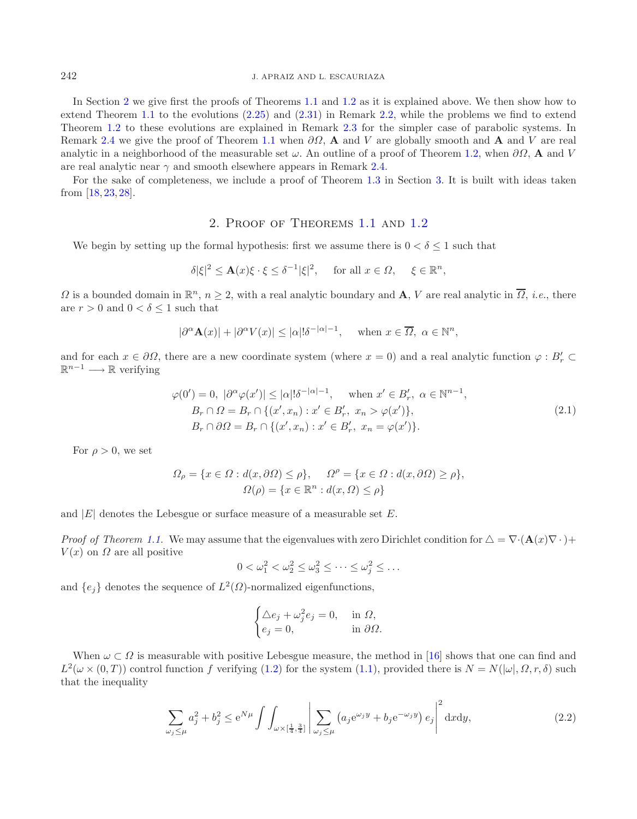In Section [2](#page-3-0) we give first the proofs of Theorems [1.1](#page-1-0) and [1.2](#page-1-1) as it is explained above. We then show how to extend Theorem [1.1](#page-1-0) to the evolutions [\(2.25\)](#page-8-0) and [\(2.31\)](#page-9-0) in Remark [2.2,](#page-8-1) while the problems we find to extend Theorem [1.2](#page-1-1) to these evolutions are explained in Remark [2.3](#page-10-0) for the simpler case of parabolic systems. In Remark [2.4](#page-11-0) we give the proof of Theorem [1.1](#page-1-0) when ∂Ω, **A** and V are globally smooth and **A** and V are real analytic in a neighborhood of the measurable set  $\omega$ . An outline of a proof of Theorem [1.2,](#page-1-1) when  $\partial\Omega$ , **A** and V are real analytic near  $\gamma$  and smooth elsewhere appears in Remark [2.4.](#page-11-0)

<span id="page-3-2"></span><span id="page-3-0"></span>For the sake of completeness, we include a proof of Theorem [1.3](#page-1-3) in Section [3.](#page-12-0) It is built with ideas taken from [\[18](#page-14-9), [23](#page-14-8), [28](#page-15-1)].

# 2. Proof of Theorems [1.1](#page-1-0) and [1.2](#page-1-1)

We begin by setting up the formal hypothesis: first we assume there is  $0 < \delta \leq 1$  such that

$$
\delta |\xi|^2 \le \mathbf{A}(x)\xi \cdot \xi \le \delta^{-1} |\xi|^2, \quad \text{ for all } x \in \Omega, \quad \xi \in \mathbb{R}^n,
$$

 $\Omega$  is a bounded domain in  $\mathbb{R}^n$ ,  $n \geq 2$ , with a real analytic boundary and **A**, *V* are real analytic in  $\overline{\Omega}$ , *i.e.*, there are  $r > 0$  and  $0 < \delta \leq 1$  such that

$$
|\partial^{\alpha} \mathbf{A}(x)| + |\partial^{\alpha} V(x)| \leq |\alpha|! \delta^{-|\alpha|-1}, \quad \text{when } x \in \overline{\Omega}, \ \alpha \in \mathbb{N}^n,
$$

and for each  $x \in \partial\Omega$ , there are a new coordinate system (where  $x = 0$ ) and a real analytic function  $\varphi : B'_r \subset$  $\mathbb{R}^{n-1} \longrightarrow \mathbb{R}$  verifying

$$
\varphi(0') = 0, \quad |\partial^{\alpha}\varphi(x')| \le |\alpha|!\delta^{-|\alpha|-1}, \quad \text{when } x' \in B'_r, \ \alpha \in \mathbb{N}^{n-1},
$$
  
\n
$$
B_r \cap \Omega = B_r \cap \{(x', x_n) : x' \in B'_r, \ x_n > \varphi(x')\},
$$
  
\n
$$
B_r \cap \partial\Omega = B_r \cap \{(x', x_n) : x' \in B'_r, \ x_n = \varphi(x')\}.
$$
\n(2.1)

For  $\rho > 0$ , we set

$$
\Omega_{\rho} = \{ x \in \Omega : d(x, \partial \Omega) \le \rho \}, \quad \Omega^{\rho} = \{ x \in \Omega : d(x, \partial \Omega) \ge \rho \},
$$
  

$$
\Omega(\rho) = \{ x \in \mathbb{R}^n : d(x, \Omega) \le \rho \}
$$

<span id="page-3-1"></span>and  $|E|$  denotes the Lebesgue or surface measure of a measurable set  $E$ .

*Proof of Theorem [1.1.](#page-1-0)* We may assume that the eigenvalues with zero Dirichlet condition for  $\Delta = \nabla \cdot (\mathbf{A}(x)\nabla \cdot) +$  $V(x)$  on  $\Omega$  are all positive

$$
0 < \omega_1^2 < \omega_2^2 \le \omega_3^2 \le \cdots \le \omega_j^2 \le \ldots
$$

and  $\{e_i\}$  denotes the sequence of  $L^2(\Omega)$ -normalized eigenfunctions,

$$
\begin{cases} \triangle e_j + \omega_j^2 e_j = 0, & \text{in } \Omega, \\ e_j = 0, & \text{in } \partial \Omega. \end{cases}
$$

When  $\omega \subset \Omega$  is measurable with positive Lebesgue measure, the method in [\[16\]](#page-14-0) shows that one can find and  $L^2(\omega \times (0,T))$  control function f verifying [\(1.2\)](#page-0-0) for the system [\(1.1\)](#page-0-1), provided there is  $N = N(|\omega|, \Omega, r, \delta)$  such that the inequality

$$
\sum_{\omega_j \le \mu} a_j^2 + b_j^2 \le e^{N\mu} \int \int_{\omega \times \left[\frac{1}{4}, \frac{3}{4}\right]} \left| \sum_{\omega_j \le \mu} \left( a_j e^{\omega_j y} + b_j e^{-\omega_j y} \right) e_j \right|^2 dx dy, \tag{2.2}
$$

 $\sim$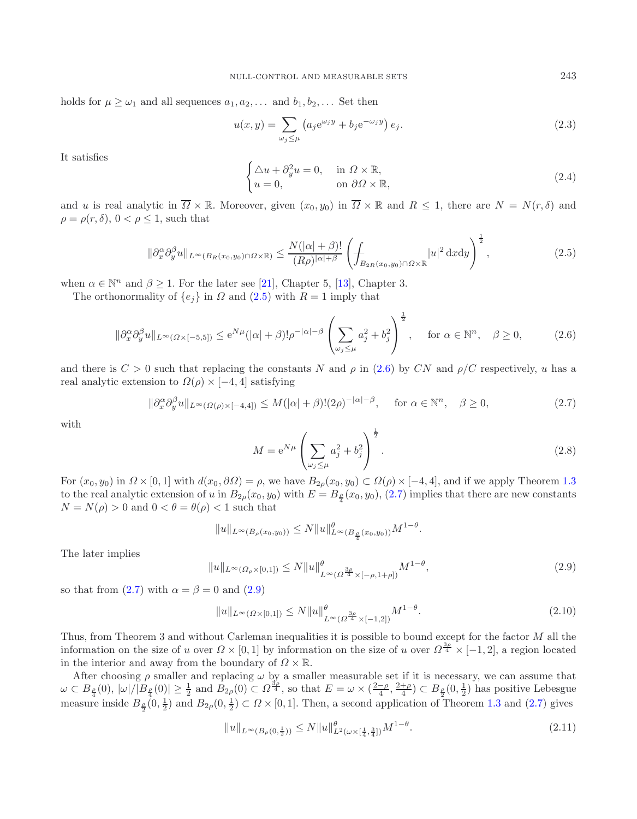<span id="page-4-8"></span><span id="page-4-0"></span>holds for  $\mu \geq \omega_1$  and all sequences  $a_1, a_2, \ldots$  and  $b_1, b_2, \ldots$  Set then

<span id="page-4-7"></span>
$$
u(x,y) = \sum_{\omega_j \le \mu} \left( a_j e^{\omega_j y} + b_j e^{-\omega_j y} \right) e_j.
$$
 (2.3)

It satisfies

<span id="page-4-2"></span><span id="page-4-1"></span>
$$
\begin{cases} \Delta u + \partial_y^2 u = 0, & \text{in } \Omega \times \mathbb{R}, \\ u = 0, & \text{on } \partial \Omega \times \mathbb{R}, \end{cases}
$$
 (2.4)

and u is real analytic in  $\overline{\Omega} \times \mathbb{R}$ . Moreover, given  $(x_0, y_0)$  in  $\overline{\Omega} \times \mathbb{R}$  and  $R \le 1$ , there are  $N = N(r, \delta)$  and  $\rho = \rho(r, \delta), 0 < \rho \leq 1$ , such that

$$
\|\partial_x^{\alpha}\partial_y^{\beta}u\|_{L^{\infty}(B_R(x_0,y_0)\cap\Omega\times\mathbb{R})} \le \frac{N(|\alpha|+\beta)!}{(R\rho)^{|\alpha|+\beta}} \left(\int_{B_{2R}(x_0,y_0)\cap\Omega\times\mathbb{R}} |u|^2 \,dxdy\right)^{\frac{1}{2}},\tag{2.5}
$$

<span id="page-4-6"></span>when  $\alpha \in \mathbb{N}^n$  and  $\beta \geq 1$ . For the later see [\[21](#page-14-10)], Chapter 5, [\[13\]](#page-14-11), Chapter 3.

The orthonormality of  $\{e_i\}$  in  $\Omega$  and  $(2.5)$  with  $R = 1$  imply that

$$
\|\partial_x^{\alpha}\partial_y^{\beta}u\|_{L^{\infty}(\Omega\times[-5,5])} \le e^{N\mu}(|\alpha|+\beta)!\rho^{-|\alpha|-\beta}\left(\sum_{\omega_j\le\mu}a_j^2+b_j^2\right)^{\frac{1}{2}}, \quad \text{for } \alpha\in\mathbb{N}^n, \quad \beta\ge 0,
$$
 (2.6)

<span id="page-4-3"></span>and there is  $C > 0$  such that replacing the constants N and  $\rho$  in [\(2.6\)](#page-4-1) by CN and  $\rho/C$  respectively, u has a real analytic extension to  $\Omega(\rho) \times [-4, 4]$  satisfying

<span id="page-4-4"></span>
$$
\|\partial_x^{\alpha}\partial_y^{\beta}u\|_{L^{\infty}(\Omega(\rho)\times[-4,4])} \le M(|\alpha|+\beta)!(2\rho)^{-|\alpha|-\beta}, \quad \text{for } \alpha \in \mathbb{N}^n, \quad \beta \ge 0,
$$
\n(2.7)

with

<span id="page-4-5"></span>
$$
M = e^{N\mu} \left( \sum_{\omega_j \le \mu} a_j^2 + b_j^2 \right)^{\frac{1}{2}}.
$$
 (2.8)

For  $(x_0, y_0)$  in  $\Omega \times [0, 1]$  with  $d(x_0, \partial \Omega) = \rho$ , we have  $B_{2\rho}(x_0, y_0) \subset \Omega(\rho) \times [-4, 4]$ , and if we apply Theorem [1.3](#page-1-3) to the real analytic extension of u in  $B_{2\rho}(x_0, y_0)$  with  $E = B_{\frac{\rho}{4}}(x_0, y_0)$ , [\(2.7\)](#page-4-2) implies that there are new constants  $N = N(\rho) > 0$  and  $0 < \theta = \theta(\rho) < 1$  such that

$$
||u||_{L^{\infty}(B_{\rho}(x_0,y_0))} \leq N||u||_{L^{\infty}(B_{\frac{\rho}{4}}(x_0,y_0))}^{\theta}M^{1-\theta}.
$$

The later implies

$$
||u||_{L^{\infty}(\Omega_{\rho}\times[0,1])} \le N||u||_{L^{\infty}(\Omega^{\frac{3\rho}{4}} \times [-\rho,1+\rho])}^{0} M^{1-\theta}, \qquad (2.9)
$$

so that from [\(2.7\)](#page-4-2) with  $\alpha = \beta = 0$  and [\(2.9\)](#page-4-3)

$$
||u||_{L^{\infty}(\Omega \times [0,1])} \le N||u||^{\theta} \int_{L^{\infty}(\Omega^{\frac{3\rho}{4}} \times [-1,2])} M^{1-\theta}.
$$
\n(2.10)

Thus, from Theorem 3 and without Carleman inequalities it is possible to bound except for the factor M all the information on the size of u over  $\Omega \times [0,1]$  by information on the size of u over  $\Omega^{\frac{3\rho}{4}} \times [-1,2]$ , a region located in the interior and away from the boundary of  $\Omega \times \mathbb{R}$ .

After choosing  $\rho$  smaller and replacing  $\omega$  by a smaller measurable set if it is necessary, we can assume that  $\omega \subset B_{\frac{\rho}{4}}(0), |\omega|/|B_{\frac{\rho}{4}}(0)| \geq \frac{1}{2}$  and  $\overline{B}_{2\rho}(0) \subset \Omega^{\frac{3\rho}{4}}$ , so that  $E = \omega \times (\frac{2-\rho}{4}, \frac{2+\rho}{4}) \subset B_{\frac{\rho}{2}}(0, \frac{1}{2})$  has positive Lebesgue measure inside  $B_{\frac{\rho}{2}}(0,\frac{1}{2})$  and  $B_{2\rho}(0,\frac{1}{2}) \subset \Omega \times [0,1]$ . Then, a second application of Theorem [1.3](#page-1-3) and [\(2.7\)](#page-4-2) gives

$$
||u||_{L^{\infty}(B_{\rho}(0,\frac{1}{2}))} \le N||u||_{L^{2}(\omega \times [\frac{1}{4},\frac{3}{4}])}^{2} M^{1-\theta}.
$$
\n(2.11)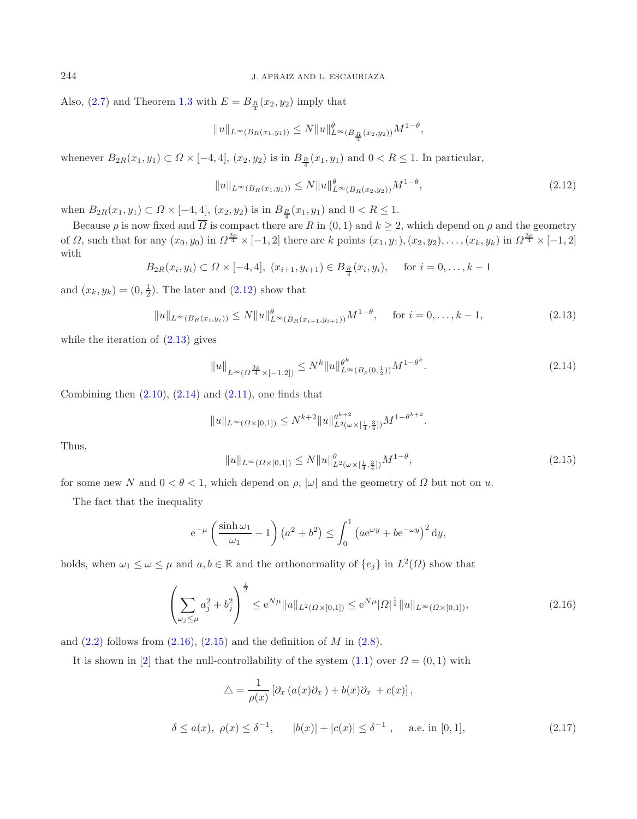Also,  $(2.7)$  and Theorem [1.3](#page-1-3) with  $E = B_{\frac{R}{4}}(x_2, y_2)$  imply that

<span id="page-5-1"></span><span id="page-5-0"></span>
$$
||u||_{L^{\infty}(B_R(x_1,y_1))} \le N||u||_{L^{\infty}(B_{\frac{R}{4}}(x_2,y_2))}^{\theta}M^{1-\theta},
$$

whenever  $B_{2R}(x_1, y_1) \subset \Omega \times [-4, 4], (x_2, y_2)$  is in  $B_{\frac{R}{4}}(x_1, y_1)$  and  $0 < R \le 1$ . In particular,

<span id="page-5-2"></span>
$$
||u||_{L^{\infty}(B_R(x_1,y_1))} \le N ||u||_{L^{\infty}(B_R(x_2,y_2))}^{\theta} M^{1-\theta},
$$
\n(2.12)

when  $B_{2R}(x_1, y_1) \subset \Omega \times [-4, 4], (x_2, y_2)$  is in  $B_{\frac{R}{4}}(x_1, y_1)$  and  $0 < R \leq 1$ .

Because  $\rho$  is now fixed and  $\overline{\Omega}$  is compact there are R in  $(0, 1)$  and  $k \geq 2$ , which depend on  $\rho$  and the geometry of  $\Omega$ , such that for any  $(x_0, y_0)$  in  $\Omega^{\frac{3\rho}{4}} \times [-1, 2]$  there are k points  $(x_1, y_1), (x_2, y_2), \ldots, (x_k, y_k)$  in  $\Omega^{\frac{3\rho}{4}} \times [-1, 2]$ with

$$
B_{2R}(x_i, y_i) \subset \Omega \times [-4, 4], (x_{i+1}, y_{i+1}) \in B_{\frac{R}{4}}(x_i, y_i), \quad \text{for } i = 0, \dots, k-1
$$

<span id="page-5-4"></span>and  $(x_k, y_k) = (0, \frac{1}{2})$ . The later and  $(2.12)$  show that

$$
||u||_{L^{\infty}(B_R(x_i,y_i))} \le N||u||_{L^{\infty}(B_R(x_{i+1},y_{i+1}))}^{q} M^{1-\theta}, \quad \text{for } i = 0,\ldots, k-1,
$$
\n(2.13)

while the iteration of  $(2.13)$  gives

$$
||u||_{L^{\infty}(\Omega^{\frac{3\rho}{4}} \times [-1,2])} \le N^k ||u||_{L^{\infty}(B_{\rho}(0,\frac{1}{2}))}^{\theta^k} M^{1-\theta^k}.
$$
\n(2.14)

Combining then  $(2.10)$ ,  $(2.14)$  and  $(2.11)$ , one finds that

$$
||u||_{L^{\infty}(\Omega\times[0,1])}\leq N^{k+2}||u||_{L^{2}(\omega\times[\frac{1}{4},\frac{3}{4}])}^{ \theta^{k+2}}M^{1-\theta^{k+2}}.
$$

Thus,

<span id="page-5-3"></span>
$$
||u||_{L^{\infty}(\Omega\times[0,1])} \le N||u||_{L^{2}(\omega\times[\frac{1}{4},\frac{3}{4}])}^{2}M^{1-\theta}, \qquad (2.15)
$$

for some new N and  $0 < \theta < 1$ , which depend on  $\rho$ ,  $|\omega|$  and the geometry of  $\Omega$  but not on u.

The fact that the inequality

$$
e^{-\mu} \left(\frac{\sinh \omega_1}{\omega_1} - 1\right) \left(a^2 + b^2\right) \le \int_0^1 \left(a e^{\omega y} + b e^{-\omega y}\right)^2 dy,
$$

<span id="page-5-5"></span>holds, when  $\omega_1 \leq \omega \leq \mu$  and  $a, b \in \mathbb{R}$  and the orthonormality of  $\{e_j\}$  in  $L^2(\Omega)$  show that

$$
\left(\sum_{\omega_j \le \mu} a_j^2 + b_j^2\right)^{\frac{1}{2}} \le e^{N\mu} \|u\|_{L^2(\Omega \times [0,1])} \le e^{N\mu} |\Omega|^{\frac{1}{2}} \|u\|_{L^\infty(\Omega \times [0,1])},\tag{2.16}
$$

and  $(2.2)$  follows from  $(2.16)$ ,  $(2.15)$  and the definition of M in  $(2.8)$ .

It is shown in [\[2\]](#page-14-7) that the null-controllability of the system  $(1.1)$  over  $\Omega = (0, 1)$  with

$$
\Delta = \frac{1}{\rho(x)} \left[ \partial_x \left( a(x) \partial_x \right) + b(x) \partial_x + c(x) \right],
$$
  

$$
\delta \le a(x), \ \rho(x) \le \delta^{-1}, \qquad |b(x)| + |c(x)| \le \delta^{-1}, \qquad \text{a.e. in } [0, 1], \tag{2.17}
$$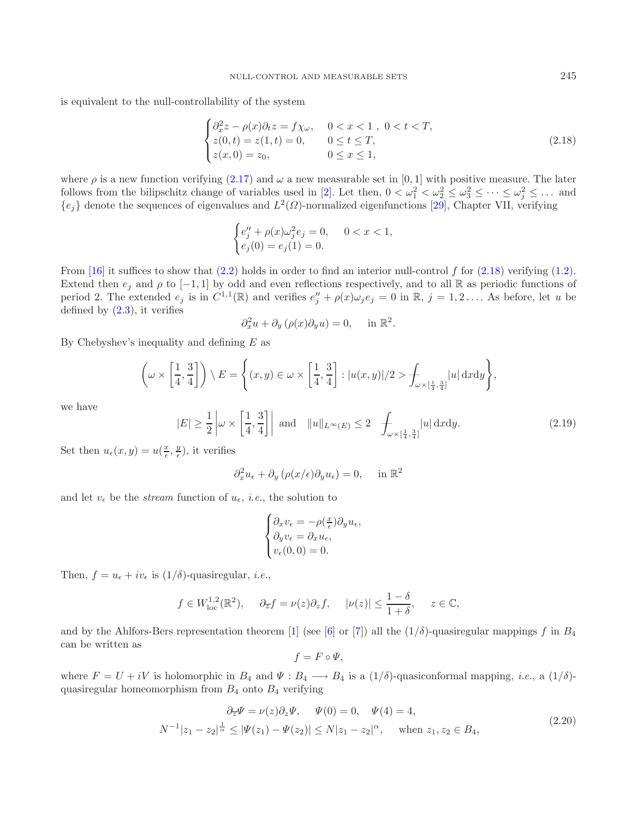is equivalent to the null-controllability of the system

<span id="page-6-0"></span>
$$
\begin{cases}\n\partial_x^2 z - \rho(x)\partial_t z = f\chi_\omega, & 0 < x < 1, \ 0 < t < T, \\
z(0, t) = z(1, t) = 0, & 0 \le t \le T, \\
z(x, 0) = z_0, & 0 \le x \le 1,\n\end{cases}
$$
\n(2.18)

where  $\rho$  is a new function verifying [\(2.17\)](#page-5-5) and  $\omega$  a new measurable set in [0, 1] with positive measure. The later follows from the bilipschitz change of variables used in [\[2\]](#page-14-7). Let then,  $0 < \omega_1^2 < \omega_2^2 \leq \omega_3^2 \leq \cdots \leq \omega_j^2 \leq \ldots$  and  ${e_j}$  denote the sequences of eigenvalues and  $L^2(\Omega)$ -normalized eigenfunctions [\[29\]](#page-15-4), Chapter VII, verifying

$$
\begin{cases} e''_j + \rho(x)\omega_j^2 e_j = 0, & 0 < x < 1, \\ e_j(0) = e_j(1) = 0. \end{cases}
$$

<span id="page-6-2"></span>From  $[16]$  it suffices to show that  $(2.2)$  holds in order to find an interior null-control f for  $(2.18)$  verifying  $(1.2)$ . Extend then  $e_j$  and  $\rho$  to  $[-1, 1]$  by odd and even reflections respectively, and to all R as periodic functions of period 2. The extended  $e_j$  is in  $C^{1,1}(\mathbb{R})$  and verifies  $e''_j + \rho(x)\omega_j e_j = 0$  in  $\mathbb{R}, j = 1, 2, \ldots$  As before, let u be defined by  $(2.3)$ , it verifies

$$
\partial_x^2 u + \partial_y (\rho(x)\partial_y u) = 0, \quad \text{in } \mathbb{R}^2.
$$

By Chebyshev's inequality and defining  $E$  as

$$
\left(\omega \times \left[\frac{1}{4}, \frac{3}{4}\right]\right) \setminus E = \left\{(x, y) \in \omega \times \left[\frac{1}{4}, \frac{3}{4}\right] : |u(x, y)|/2 > \int_{\omega \times \left[\frac{1}{4}, \frac{3}{4}\right]} |u| \, \mathrm{d}x \mathrm{d}y\right\},\right\}
$$

we have

$$
|E| \ge \frac{1}{2} \left| \omega \times \left[ \frac{1}{4}, \frac{3}{4} \right] \right| \text{ and } \|u\|_{L^{\infty}(E)} \le 2 \quad \text{for all } |u| \, dxdy. \tag{2.19}
$$

Set then  $u_{\epsilon}(x, y) = u(\frac{x}{\epsilon}, \frac{y}{\epsilon})$ , it verifies

$$
\partial_x^2 u_{\epsilon} + \partial_y \left( \rho(x/\epsilon) \partial_y u_{\epsilon} \right) = 0, \quad \text{in } \mathbb{R}^2
$$

and let  $v_{\epsilon}$  be the *stream* function of  $u_{\epsilon}$ , *i.e.*, the solution to

<span id="page-6-1"></span>
$$
\begin{cases} \partial_x v_{\epsilon} = -\rho(\frac{x}{\epsilon}) \partial_y u_{\epsilon}, \\ \partial_y v_{\epsilon} = \partial_x u_{\epsilon}, \\ v_{\epsilon}(0,0) = 0. \end{cases}
$$

Then,  $f = u_{\epsilon} + iv_{\epsilon}$  is  $(1/\delta)$ -quasiregular, *i.e.*,

$$
f \in W^{1,2}_{loc}(\mathbb{R}^2)
$$
,  $\partial_{\overline{z}} f = \nu(z)\partial_z f$ ,  $|\nu(z)| \le \frac{1-\delta}{1+\delta}$ ,  $z \in \mathbb{C}$ ,

and by the Ahlfors-Bers representation theorem [\[1\]](#page-14-12) (see [\[6\]](#page-14-13) or [\[7](#page-14-14)]) all the  $(1/\delta)$ -quasiregular mappings f in  $B_4$ can be written as

$$
f = F \circ \Psi,
$$

where  $F = U + iV$  is holomorphic in  $B_4$  and  $\Psi : B_4 \longrightarrow B_4$  is a  $(1/\delta)$ -quasiconformal mapping, *i.e.*, a  $(1/\delta)$ quasiregular homeomorphism from  $B_4$  onto  $B_4$  verifying

$$
\partial_{\overline{z}}\Psi = \nu(z)\partial_z\Psi, \quad \Psi(0) = 0, \quad \Psi(4) = 4,
$$
  
\n
$$
N^{-1}|z_1 - z_2|^{\frac{1}{\alpha}} \le |\Psi(z_1) - \Psi(z_2)| \le N|z_1 - z_2|^{\alpha}, \quad \text{when } z_1, z_2 \in B_4,
$$
\n(2.20)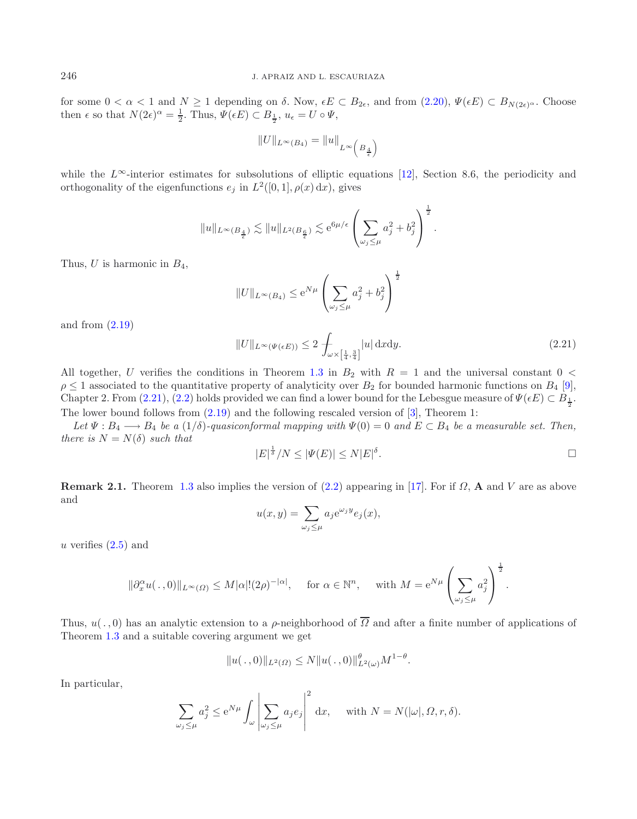for some  $0 < \alpha < 1$  and  $N \ge 1$  depending on  $\delta$ . Now,  $\epsilon E \subset B_{2\epsilon}$ , and from  $(2.20), \Psi(\epsilon E) \subset B_{N(2\epsilon)^{\alpha}}$  $(2.20), \Psi(\epsilon E) \subset B_{N(2\epsilon)^{\alpha}}$ . Choose then  $\epsilon$  so that  $N(2\epsilon)^{\alpha} = \frac{1}{2}$ . Thus,  $\Psi(\epsilon E) \subset B_{\frac{1}{2}}, u_{\epsilon} = U \circ \Psi$ ,

$$
\|U\|_{L^\infty(B_4)}=\|u\|_{L^\infty\left(\,B_\frac{4}{\epsilon}\right)}
$$

<span id="page-7-0"></span>while the  $L^{\infty}$ -interior estimates for subsolutions of elliptic equations [\[12](#page-14-15)], Section 8.6, the periodicity and orthogonality of the eigenfunctions  $e_i$  in  $L^2([0, 1], \rho(x) dx)$ , gives

$$
\|u\|_{L^\infty(B_{\frac{4}{\epsilon}})} \lesssim \|u\|_{L^2(B_{\frac{6}{\epsilon}})} \lesssim \mathrm{e}^{6\mu/\epsilon} \left(\sum_{\omega_j\leq \mu} a_j^2 + b_j^2\right)^{\frac{1}{2}}.
$$

Thus, U is harmonic in  $B_4$ ,

$$
||U||_{L^{\infty}(B_4)} \leq e^{N\mu} \left(\sum_{\omega_j \leq \mu} a_j^2 + b_j^2\right)^{\frac{1}{2}}
$$

and from  $(2.19)$ 

$$
||U||_{L^{\infty}(\Psi(\epsilon E))} \le 2 \int_{\omega \times \left[\frac{1}{4}, \frac{3}{4}\right]} |u| \, \mathrm{d}x \mathrm{d}y. \tag{2.21}
$$

All together, U verifies the conditions in Theorem [1.3](#page-1-3) in  $B_2$  with  $R = 1$  and the universal constant  $0 <$  $\rho \leq 1$  associated to the quantitative property of analyticity over  $B_2$  for bounded harmonic functions on  $B_4$  [\[9](#page-14-16)], Chapter 2. From [\(2.21\)](#page-7-0), [\(2.2\)](#page-3-1) holds provided we can find a lower bound for the Lebesgue measure of  $\Psi(\epsilon E) \subset B_{\frac{1}{2}}$ . The lower bound follows from [\(2.19\)](#page-6-2) and the following rescaled version of [\[3](#page-14-17)], Theorem 1:

*Let*  $\Psi : B_4 \longrightarrow B_4$  *be a* (1/δ)*-quasiconformal mapping with*  $\Psi(0) = 0$  *and*  $E \subset B_4$  *be a measurable set. Then, there is*  $N = N(\delta)$  *such that* 

$$
|E|^{\frac{1}{\delta}}/N \leq |\Psi(E)| \leq N|E|^{\delta}.
$$

<span id="page-7-1"></span>**Remark 2.1.** Theorem [1.3](#page-1-3) also implies the version of  $(2.2)$  appearing in [\[17\]](#page-14-2). For if  $\Omega$ , **A** and V are as above and

$$
u(x,y) = \sum_{\omega_j \le \mu} a_j e^{\omega_j y} e_j(x),
$$

u verifies  $(2.5)$  and

$$
\|\partial_x^{\alpha} u(\,.\,,0)\|_{L^{\infty}(\Omega)} \le M|\alpha|!(2\rho)^{-|\alpha|}, \quad \text{ for } \alpha \in \mathbb{N}^n, \quad \text{ with } M = e^{N\mu} \left(\sum_{\omega_j \le \mu} a_j^2\right)^{\frac{1}{2}}.
$$

Thus,  $u(.,0)$  has an analytic extension to a  $\rho$ -neighborhood of  $\overline{\Omega}$  and after a finite number of applications of Theorem [1.3](#page-1-3) and a suitable covering argument we get

$$
||u(\,.\,,0)||_{L^2(\Omega)} \le N||u(\,.\,,0)||_{L^2(\omega)}^{\theta}M^{1-\theta}.
$$

In particular,

$$
\sum_{\omega_j \le \mu} a_j^2 \le e^{N\mu} \int_{\omega} \left| \sum_{\omega_j \le \mu} a_j e_j \right|^2 dx, \quad \text{with } N = N(|\omega|, \Omega, r, \delta).
$$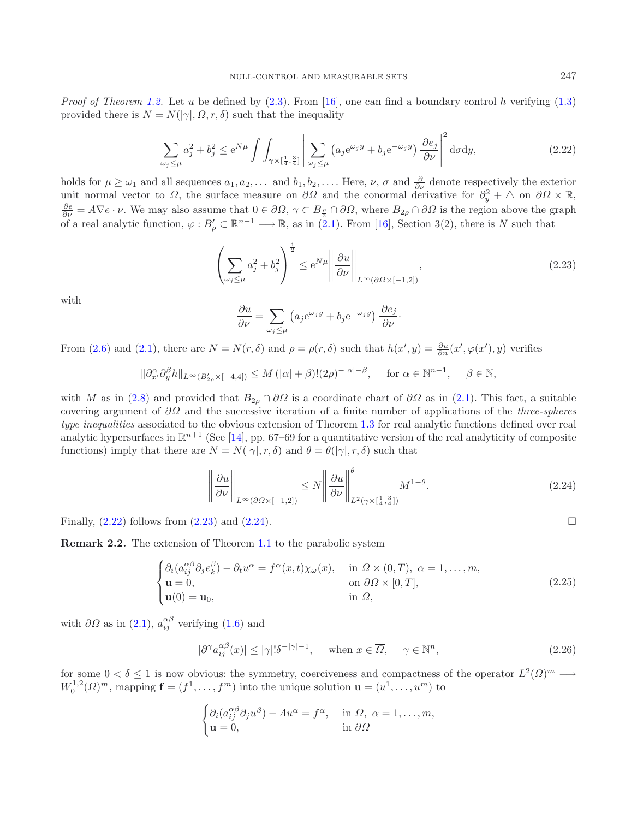<span id="page-8-2"></span>*Proof of Theorem [1.2.](#page-1-1)* Let u be defined by [\(2.3\)](#page-4-7). From [\[16\]](#page-14-0), one can find a boundary control h verifying [\(1.3\)](#page-1-4) provided there is  $N = N(|\gamma|, \Omega, r, \delta)$  such that the inequality

$$
\sum_{\omega_j \le \mu} a_j^2 + b_j^2 \le e^{N\mu} \int \int_{\gamma \times \left[\frac{1}{4}, \frac{3}{4}\right]} \left| \sum_{\omega_j \le \mu} \left( a_j e^{\omega_j y} + b_j e^{-\omega_j y} \right) \frac{\partial e_j}{\partial \nu} \right|^2 d\sigma dy, \tag{2.22}
$$

holds for  $\mu \ge \omega_1$  and all sequences  $a_1, a_2, \ldots$  and  $b_1, b_2, \ldots$ . Here,  $\nu$ ,  $\sigma$  and  $\frac{\partial}{\partial \nu}$  denote respectively the exterior unit normal vector to  $\Omega$ , the surface measure on  $\partial\Omega$  and the conormal derivative for  $\partial_y^2 + \Delta$  on  $\partial\Omega \times \mathbb{R}$ ,  $\frac{\partial e}{\partial \nu} = A \nabla e \cdot \nu$ . We may also assume that  $0 \in \partial \Omega$ ,  $\gamma \subset B_{\frac{\rho}{2}} \cap \partial \Omega$ , where  $B_{2\rho} \cap \partial \Omega$  is the region above the graph of a real analytic function,  $\varphi: B_{\rho}' \subset \mathbb{R}^{n-1} \longrightarrow \mathbb{R}$ , as in  $(2.1)$ . From [\[16\]](#page-14-0), Section 3(2), there is N such that

<span id="page-8-3"></span>
$$
\left(\sum_{\omega_j\leq\mu}a_j^2+b_j^2\right)^{\frac{1}{2}}\leq e^{N\mu}\left\|\frac{\partial u}{\partial\nu}\right\|_{L^\infty(\partial\Omega\times[-1,2])},\tag{2.23}
$$

with

<span id="page-8-4"></span><span id="page-8-0"></span>
$$
\frac{\partial u}{\partial \nu} = \sum_{\omega_j \le \mu} \left( a_j e^{\omega_j y} + b_j e^{-\omega_j y} \right) \frac{\partial e_j}{\partial \nu}.
$$

From [\(2.6\)](#page-4-1) and [\(2.1\)](#page-3-2), there are  $N = N(r, \delta)$  and  $\rho = \rho(r, \delta)$  such that  $h(x', y) = \frac{\partial u}{\partial n}(x', \varphi(x'), y)$  verifies

$$
\|\partial_{x'}^{\alpha}\partial_{y}^{\beta}h\|_{L^{\infty}(B'_{2\rho}\times[-4,4])}\leq M\left(|\alpha|+\beta\right)!(2\rho)^{-|\alpha|-\beta},\quad \text{ for }\alpha\in\mathbb{N}^{n-1},\quad \beta\in\mathbb{N},
$$

with M as in [\(2.8\)](#page-4-6) and provided that  $B_{2\rho} \cap \partial \Omega$  is a coordinate chart of  $\partial \Omega$  as in [\(2.1\)](#page-3-2). This fact, a suitable covering argument of ∂Ω and the successive iteration of a finite number of applications of the *three-spheres type inequalities* associated to the obvious extension of Theorem [1.3](#page-1-3) for real analytic functions defined over real analytic hypersurfaces in  $\mathbb{R}^{n+1}$  (See [\[14\]](#page-14-18), pp. 67–69 for a quantitative version of the real analyticity of composite functions) imply that there are  $N = N(|\gamma|, r, \delta)$  and  $\theta = \theta(|\gamma|, r, \delta)$  such that

<span id="page-8-5"></span>
$$
\left\|\frac{\partial u}{\partial \nu}\right\|_{L^{\infty}(\partial \Omega \times [-1,2])} \le N \left\|\frac{\partial u}{\partial \nu}\right\|_{L^{2}(\gamma \times [\frac{1}{4},\frac{3}{4}])}^{\theta} M^{1-\theta}.
$$
\n(2.24)

Finally,  $(2.22)$  follows from  $(2.23)$  and  $(2.24)$ .

<span id="page-8-1"></span>**Remark 2.2.** The extension of Theorem [1.1](#page-1-0) to the parabolic system

$$
\begin{cases}\n\partial_i(a_{ij}^{\alpha\beta}\partial_j e_k^{\beta}) - \partial_t u^{\alpha} = f^{\alpha}(x, t)\chi_{\omega}(x), & \text{in } \Omega \times (0, T), \ \alpha = 1, \dots, m, \\
\mathbf{u} = 0, & \text{on } \partial\Omega \times [0, T], \\
\mathbf{u}(0) = \mathbf{u}_0, & \text{in } \Omega,\n\end{cases}
$$
\n(2.25)

with  $\partial\Omega$  as in [\(2.1\)](#page-3-2),  $a_{ij}^{\alpha\beta}$  verifying [\(1.6\)](#page-2-0) and

$$
|\partial^{\gamma} a_{ij}^{\alpha\beta}(x)| \le |\gamma| |\delta^{-|\gamma|-1}, \quad \text{when } x \in \overline{\Omega}, \quad \gamma \in \mathbb{N}^n,
$$
\n(2.26)

for some  $0 < \delta \leq 1$  is now obvious: the symmetry, coerciveness and compactness of the operator  $L^2(\Omega)^m \longrightarrow$  $W_0^{1,2}(\Omega)^m$ , mapping  $\mathbf{f} = (f^1, \ldots, f^m)$  into the unique solution  $\mathbf{u} = (u^1, \ldots, u^m)$  to

$$
\begin{cases} \partial_i (a_{ij}^{\alpha\beta} \partial_j u^{\beta}) - \Lambda u^{\alpha} = f^{\alpha}, & \text{in } \Omega, \ \alpha = 1, \dots, m, \\ \mathbf{u} = 0, & \text{in } \partial \Omega \end{cases}
$$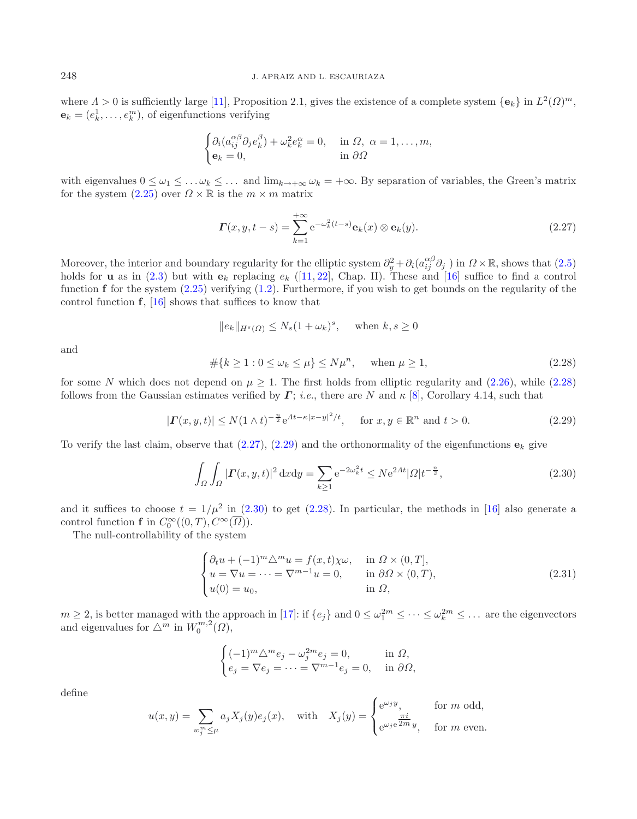where  $\Lambda > 0$  is sufficiently large [\[11\]](#page-14-19), Proposition 2.1, gives the existence of a complete system  $\{e_k\}$  in  $L^2(\Omega)^m$ ,  $\mathbf{e}_k = (e_k^1, \dots, e_k^m)$ , of eigenfunctions verifying

<span id="page-9-2"></span>
$$
\begin{cases} \partial_i (a_{ij}^{\alpha\beta} \partial_j e_k^{\beta}) + \omega_k^2 e_k^{\alpha} = 0, & \text{in } \Omega, \ \alpha = 1, \dots, m, \\ \mathbf{e}_k = 0, & \text{in } \partial \Omega \end{cases}
$$

<span id="page-9-1"></span>with eigenvalues  $0 \leq \omega_1 \leq \ldots \omega_k \leq \ldots$  and  $\lim_{k \to +\infty} \omega_k = +\infty$ . By separation of variables, the Green's matrix for the system  $(2.25)$  over  $\Omega \times \mathbb{R}$  is the  $m \times m$  matrix

<span id="page-9-3"></span>
$$
\boldsymbol{\Gamma}(x, y, t-s) = \sum_{k=1}^{+\infty} e^{-\omega_k^2(t-s)} \mathbf{e}_k(x) \otimes \mathbf{e}_k(y). \tag{2.27}
$$

Moreover, the interior and boundary regularity for the elliptic system  $\partial_y^2 + \partial_i(a_{ij}^{\alpha\beta}\partial_j)$  in  $\Omega \times \mathbb{R}$ , shows that  $(2.5)$ holds for **u** as in  $(2.3)$  but with  $e_k$  replacing  $e_k$  ([\[11,](#page-14-19) [22\]](#page-14-20), Chap. II). These and [\[16\]](#page-14-0) suffice to find a control function **f** for the system [\(2.25\)](#page-8-0) verifying [\(1.2\)](#page-0-0). Furthermore, if you wish to get bounds on the regularity of the control function **f**, [\[16\]](#page-14-0) shows that suffices to know that

<span id="page-9-4"></span>
$$
||e_k||_{H^s(\Omega)} \le N_s (1 + \omega_k)^s, \quad \text{when } k, s \ge 0
$$

and

<span id="page-9-0"></span>
$$
#{k \ge 1 : 0 \le \omega_k \le \mu} \le N\mu^n, \quad \text{when } \mu \ge 1,
$$
\n
$$
(2.28)
$$

for some N which does not depend on  $\mu \geq 1$ . The first holds from elliptic regularity and [\(2.26\)](#page-8-5), while [\(2.28\)](#page-9-1) follows from the Gaussian estimates verified by  $\Gamma$ ; *i.e.*, there are N and  $\kappa$  [\[8](#page-14-21)], Corollary 4.14, such that

$$
|\mathbf{\Gamma}(x,y,t)| \le N(1 \wedge t)^{-\frac{n}{2}} e^{At - \kappa |x-y|^2/t}, \quad \text{for } x, y \in \mathbb{R}^n \text{ and } t > 0.
$$
 (2.29)

To verify the last claim, observe that  $(2.27)$ ,  $(2.29)$  and the orthonormality of the eigenfunctions  $\mathbf{e}_k$  give

$$
\int_{\Omega} \int_{\Omega} |\mathbf{\Gamma}(x, y, t)|^2 \, \mathrm{d}x \mathrm{d}y = \sum_{k \ge 1} e^{-2\omega_k^2 t} \le N e^{2\Lambda t} |\Omega| t^{-\frac{n}{2}},\tag{2.30}
$$

and it suffices to choose  $t = 1/\mu^2$  in [\(2.30\)](#page-9-4) to get [\(2.28\)](#page-9-1). In particular, the methods in [\[16](#page-14-0)] also generate a control function **f** in  $C_0^{\infty}((0,T), C^{\infty}(\Omega)).$ 

The null-controllability of the system

$$
\begin{cases}\n\partial_t u + (-1)^m \Delta^m u = f(x, t) \chi \omega, & \text{in } \Omega \times (0, T], \\
u = \nabla u = \dots = \nabla^{m-1} u = 0, & \text{in } \partial \Omega \times (0, T), \\
u(0) = u_0, & \text{in } \Omega,\n\end{cases}
$$
\n(2.31)

 $m \geq 2$ , is better managed with the approach in [\[17](#page-14-2)]: if  $\{e_j\}$  and  $0 \leq \omega_1^{2m} \leq \cdots \leq \omega_k^{2m} \leq \cdots$  are the eigenvectors and eigenvalues for  $\triangle^m$  in  $W_0^{m,2}(\Omega)$ ,

$$
\begin{cases}\n(-1)^m \Delta^m e_j - \omega_j^{2m} e_j = 0, & \text{in } \Omega, \\
e_j = \nabla e_j = \dots = \nabla^{m-1} e_j = 0, & \text{in } \partial\Omega,\n\end{cases}
$$

define

$$
u(x,y) = \sum_{w_j^m \le \mu} a_j X_j(y) e_j(x), \quad \text{with} \quad X_j(y) = \begin{cases} e^{\omega_j y}, & \text{for } m \text{ odd}, \\ e^{\omega_j e^{\frac{\pi i}{2m}} y}, & \text{for } m \text{ even}. \end{cases}
$$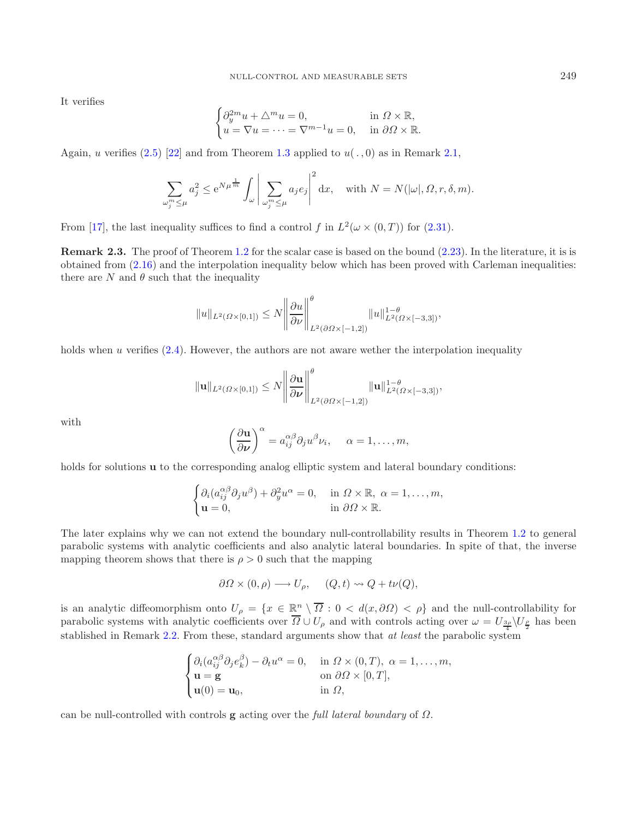It verifies

$$
\begin{cases} \partial_y^{2m} u + \triangle^m u = 0, & \text{in } \Omega \times \mathbb{R}, \\ u = \nabla u = \dots = \nabla^{m-1} u = 0, & \text{in } \partial \Omega \times \mathbb{R}. \end{cases}
$$

Again, u verifies  $(2.5)$  [\[22\]](#page-14-20) and from Theorem [1.3](#page-1-3) applied to  $u(., 0)$  as in Remark [2.1,](#page-7-1)

$$
\sum_{\omega_j^m \le \mu} a_j^2 \le e^{N\mu^{\frac{1}{m}}} \int_{\omega} \left| \sum_{\omega_j^m \le \mu} a_j e_j \right|^2 dx, \quad \text{with } N = N(|\omega|, \Omega, r, \delta, m).
$$

From [\[17\]](#page-14-2), the last inequality suffices to find a control f in  $L^2(\omega \times (0,T))$  for [\(2.31\)](#page-9-0).

<span id="page-10-0"></span>**Remark 2.3.** The proof of Theorem [1.2](#page-1-1) for the scalar case is based on the bound  $(2.23)$ . In the literature, it is is obtained from [\(2.16\)](#page-5-3) and the interpolation inequality below which has been proved with Carleman inequalities: there are N and  $\theta$  such that the inequality

$$
||u||_{L^{2}(\Omega\times[0,1])}\leq N \left||\frac{\partial u}{\partial \nu}\right||_{L^{2}(\partial\Omega\times[-1,2])}^{\theta}||u||_{L^{2}(\Omega\times[-3,3])}^{1-\theta},
$$

holds when u verifies  $(2.4)$ . However, the authors are not aware wether the interpolation inequality

$$
\|\mathbf{u}\|_{L^2(\Omega\times[0,1])}\leq N\left\|\frac{\partial\mathbf{u}}{\partial\nu}\right\|_{L^2(\partial\Omega\times[-1,2])}^{\theta}\|\mathbf{u}\|_{L^2(\Omega\times[-3,3])}^{1-\theta},
$$

with

$$
\left(\frac{\partial \mathbf{u}}{\partial \nu}\right)^{\alpha} = a_{ij}^{\alpha\beta} \partial_j u^{\beta} v_i, \quad \alpha = 1, \dots, m,
$$

holds for solutions **u** to the corresponding analog elliptic system and lateral boundary conditions:

$$
\begin{cases} \partial_i (a_{ij}^{\alpha\beta} \partial_j u^{\beta}) + \partial_y^2 u^{\alpha} = 0, & \text{in } \Omega \times \mathbb{R}, \ \alpha = 1, \dots, m, \\ \mathbf{u} = 0, & \text{in } \partial \Omega \times \mathbb{R}. \end{cases}
$$

The later explains why we can not extend the boundary null-controllability results in Theorem [1.2](#page-1-1) to general parabolic systems with analytic coefficients and also analytic lateral boundaries. In spite of that, the inverse mapping theorem shows that there is  $\rho > 0$  such that the mapping

$$
\partial \Omega \times (0, \rho) \longrightarrow U_{\rho}, \quad (Q, t) \rightsquigarrow Q + t\nu(Q),
$$

is an analytic diffeomorphism onto  $U_\rho = \{x \in \mathbb{R}^n \setminus \overline{\Omega} : 0 < d(x, \partial \Omega) < \rho\}$  and the null-controllability for parabolic systems with analytic coefficients over  $\Omega \cup U_{\rho}$  and with controls acting over  $\omega = U_{\frac{3\rho}{4}}\setminus U_{\frac{\rho}{2}}$  has been stablished in Remark [2.2.](#page-8-1) From these, standard arguments show that *at least* the parabolic system

$$
\begin{cases}\n\partial_i(a_{ij}^{\alpha\beta}\partial_j e_k^{\beta}) - \partial_t u^{\alpha} = 0, & \text{in } \Omega \times (0, T), \ \alpha = 1, \dots, m, \\
\mathbf{u} = \mathbf{g} & \text{on } \partial \Omega \times [0, T], \\
\mathbf{u}(0) = \mathbf{u}_0, & \text{in } \Omega,\n\end{cases}
$$

can be null-controlled with controls **g** acting over the *full lateral boundary* of Ω.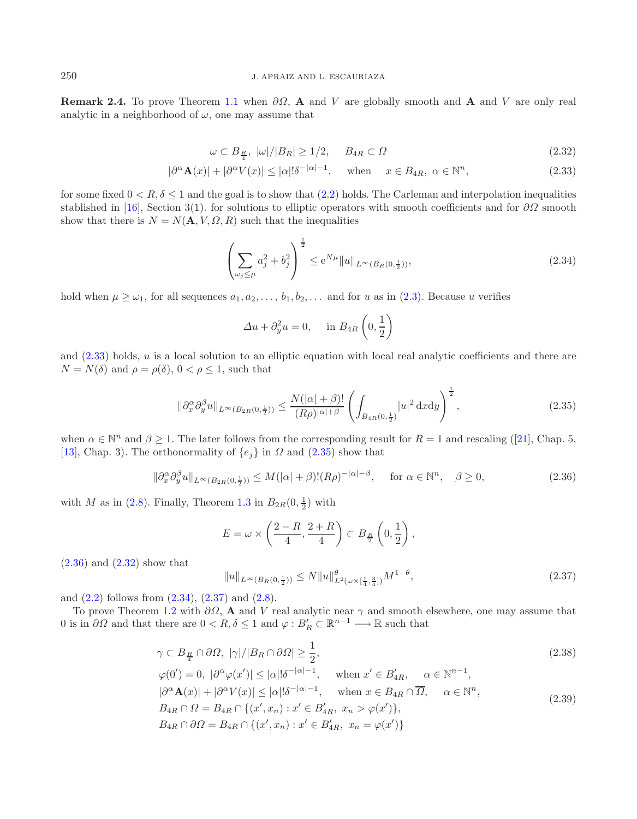<span id="page-11-0"></span>**Remark 2.4.** To prove Theorem [1.1](#page-1-0) when  $\partial\Omega$ , **A** and V are globally smooth and **A** and V are only real analytic in a neighborhood of  $\omega$ , one may assume that

<span id="page-11-5"></span><span id="page-11-4"></span><span id="page-11-1"></span>
$$
\omega \subset B_{\frac{R}{4}}, \ |\omega|/|B_R| \ge 1/2, \quad B_{4R} \subset \Omega \tag{2.32}
$$

$$
|\partial^{\alpha} \mathbf{A}(x)| + |\partial^{\alpha} V(x)| \le |\alpha|! \delta^{-|\alpha|-1}, \quad \text{when} \quad x \in B_{4R}, \ \alpha \in \mathbb{N}^n,
$$
\n(2.33)

for some fixed  $0 < R$ ,  $\delta \leq 1$  and the goal is to show that [\(2.2\)](#page-3-1) holds. The Carleman and interpolation inequalities stablished in [\[16](#page-14-0)], Section 3(1). for solutions to elliptic operators with smooth coefficients and for  $\partial\Omega$  smooth show that there is  $N = N(A, V, \Omega, R)$  such that the inequalities

<span id="page-11-2"></span>
$$
\left(\sum_{\omega_j \le \mu} a_j^2 + b_j^2\right)^{\frac{1}{2}} \le e^{N\mu} \|u\|_{L^\infty(B_R(0, \frac{1}{2}))},\tag{2.34}
$$

hold when  $\mu \ge \omega_1$ , for all sequences  $a_1, a_2, \ldots, b_1, b_2, \ldots$  and for u as in [\(2.3\)](#page-4-7). Because u verifies

<span id="page-11-3"></span>
$$
\Delta u + \partial_y^2 u = 0, \quad \text{in } B_{4R} \left( 0, \frac{1}{2} \right)
$$

and  $(2.33)$  holds, u is a local solution to an elliptic equation with local real analytic coefficients and there are  $N = N(\delta)$  and  $\rho = \rho(\delta)$ ,  $0 < \rho \leq 1$ , such that

<span id="page-11-6"></span>
$$
\|\partial_x^{\alpha}\partial_y^{\beta}u\|_{L^{\infty}(B_{2R}(0,\frac{1}{2}))} \le \frac{N(|\alpha|+\beta)!}{(R\rho)^{|\alpha|+\beta}} \left(\int_{B_{4R}(0,\frac{1}{2})} |u|^2 \,dxdy\right)^{\frac{1}{2}},
$$
\n(2.35)

when  $\alpha \in \mathbb{N}^n$  and  $\beta \geq 1$ . The later follows from the corresponding result for  $R = 1$  and rescaling ([\[21](#page-14-10)], Chap. 5, [\[13\]](#page-14-11), Chap. 3). The orthonormality of  $\{e_i\}$  in  $\Omega$  and  $(2.35)$  show that

$$
\|\partial_x^{\alpha}\partial_y^{\beta}u\|_{L^{\infty}(B_{2R}(0,\frac{1}{2}))} \le M(|\alpha|+\beta)!(R\rho)^{-|\alpha|-\beta}, \quad \text{for } \alpha \in \mathbb{N}^n, \quad \beta \ge 0,
$$
\n(2.36)

with M as in [\(2.8\)](#page-4-6). Finally, Theorem [1.3](#page-1-3) in  $B_{2R}(0, \frac{1}{2})$  with

<span id="page-11-8"></span><span id="page-11-7"></span>
$$
E = \omega \times \left(\frac{2-R}{4}, \frac{2+R}{4}\right) \subset B_{\frac{R}{2}}\left(0, \frac{1}{2}\right),
$$

 $(2.36)$  and  $(2.32)$  show that

$$
||u||_{L^{\infty}(B_R(0,\frac{1}{2}))} \le N||u||_{L^2(\omega \times [\frac{1}{4},\frac{3}{4}])}^{\theta} M^{1-\theta}, \tag{2.37}
$$

and  $(2.2)$  follows from  $(2.34)$ ,  $(2.37)$  and  $(2.8)$ .

To prove Theorem [1.2](#page-1-1) with  $\partial\Omega$ , **A** and V real analytic near  $\gamma$  and smooth elsewhere, one may assume that 0 is in  $\partial\Omega$  and that there are  $0 < R, \delta \leq 1$  and  $\varphi : B_R' \subset \mathbb{R}^{n-1} \longrightarrow \mathbb{R}$  such that

$$
\gamma \subset B_{\frac{R}{4}} \cap \partial \Omega, \ |\gamma|/|B_R \cap \partial \Omega| \ge \frac{1}{2},
$$
  
\n
$$
\varphi(0') = 0, \ |\partial^{\alpha}\varphi(x')| \le |\alpha|!\delta^{-|\alpha|-1}, \quad \text{when } x' \in B'_{4R}, \quad \alpha \in \mathbb{N}^{n-1},
$$
  
\n
$$
|\partial^{\alpha}\mathbf{A}(x)| + |\partial^{\alpha}V(x)| \le |\alpha|!\delta^{-|\alpha|-1}, \quad \text{when } x \in B_{4R} \cap \overline{\Omega}, \quad \alpha \in \mathbb{N}^n,
$$
  
\n
$$
B_{4R} \cap \Omega = B_{4R} \cap \{(x', x_n) : x' \in B'_{4R}, x_n > \varphi(x')\},
$$
  
\n
$$
B_{4R} \cap \partial \Omega = B_{4R} \cap \{(x', x_n) : x' \in B'_{4R}, x_n = \varphi(x')\}
$$
\n(2.39)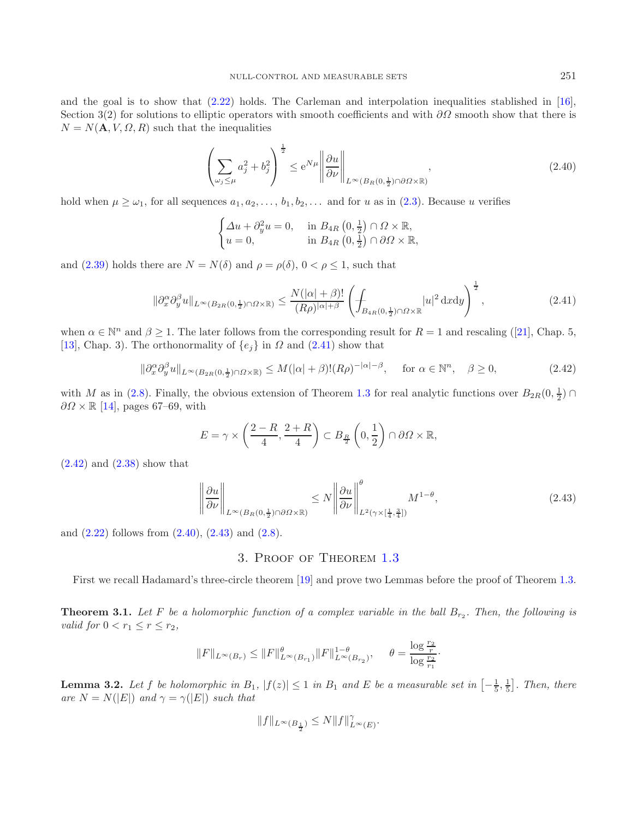and the goal is to show that [\(2.22\)](#page-8-2) holds. The Carleman and interpolation inequalities stablished in [\[16](#page-14-0)], Section 3(2) for solutions to elliptic operators with smooth coefficients and with  $\partial\Omega$  smooth show that there is  $N = N(\mathbf{A}, V, \Omega, R)$  such that the inequalities

<span id="page-12-3"></span><span id="page-12-1"></span>
$$
\left(\sum_{\omega_j \le \mu} a_j^2 + b_j^2\right)^{\frac{1}{2}} \le e^{N\mu} \left\|\frac{\partial u}{\partial \nu}\right\|_{L^\infty(B_R(0, \frac{1}{2}) \cap \partial \Omega \times \mathbb{R})},\tag{2.40}
$$

hold when  $\mu \geq \omega_1$ , for all sequences  $a_1, a_2, \ldots, b_1, b_2, \ldots$  and for u as in [\(2.3\)](#page-4-7). Because u verifies

<span id="page-12-2"></span>
$$
\begin{cases} \Delta u + \partial_y^2 u = 0, & \text{in } B_{4R} \left( 0, \frac{1}{2} \right) \cap \Omega \times \mathbb{R}, \\ u = 0, & \text{in } B_{4R} \left( 0, \frac{1}{2} \right) \cap \partial \Omega \times \mathbb{R}, \end{cases}
$$

and  $(2.39)$  holds there are  $N = N(\delta)$  and  $\rho = \rho(\delta), 0 < \rho \leq 1$ , such that

<span id="page-12-4"></span>
$$
\|\partial_x^{\alpha}\partial_y^{\beta}u\|_{L^{\infty}(B_{2R}(0,\frac{1}{2})\cap\Omega\times\mathbb{R})} \leq \frac{N(|\alpha|+\beta)!}{(R\rho)^{|\alpha|+\beta}} \left(\int_{B_{4R}(0,\frac{1}{2})\cap\Omega\times\mathbb{R}}|u|^2 dxdy\right)^{\frac{1}{2}},\tag{2.41}
$$

when  $\alpha \in \mathbb{N}^n$  and  $\beta \geq 1$ . The later follows from the corresponding result for  $R = 1$  and rescaling ([\[21](#page-14-10)], Chap. 5, [\[13\]](#page-14-11), Chap. 3). The orthonormality of  $\{e_j\}$  in  $\Omega$  and [\(2.41\)](#page-12-1) show that

$$
\|\partial_x^{\alpha}\partial_y^{\beta}u\|_{L^{\infty}(B_{2R}(0,\frac{1}{2})\cap\Omega\times\mathbb{R})} \le M(|\alpha|+\beta)!(R\rho)^{-|\alpha|-\beta}, \quad \text{for } \alpha \in \mathbb{N}^n, \quad \beta \ge 0,
$$
\n(2.42)

with M as in [\(2.8\)](#page-4-6). Finally, the obvious extension of Theorem [1.3](#page-1-3) for real analytic functions over  $B_{2R}(0, \frac{1}{2}) \cap$  $\partial\Omega \times \mathbb{R}$  [\[14](#page-14-18)], pages 67–69, with

$$
E = \gamma \times \left(\frac{2-R}{4}, \frac{2+R}{4}\right) \subset B_{\frac{R}{2}}\left(0, \frac{1}{2}\right) \cap \partial \Omega \times \mathbb{R},
$$

 $(2.42)$  and  $(2.38)$  show that

$$
\left\|\frac{\partial u}{\partial \nu}\right\|_{L^{\infty}(B_R(0,\frac{1}{2})\cap \partial \Omega \times \mathbb{R})} \le N \left\|\frac{\partial u}{\partial \nu}\right\|_{L^2(\gamma \times [\frac{1}{4},\frac{3}{4}])}^{\theta} M^{1-\theta},\tag{2.43}
$$

<span id="page-12-0"></span>and  $(2.22)$  follows from  $(2.40)$ ,  $(2.43)$  and  $(2.8)$ .

### 3. Proof of Theorem [1.3](#page-1-3)

First we recall Hadamard's three-circle theorem [\[19\]](#page-14-22) and prove two Lemmas before the proof of Theorem [1.3.](#page-1-3)

**Theorem 3.1.** Let F be a holomorphic function of a complex variable in the ball  $B_{r_2}$ . Then, the following is *valid for*  $0 < r_1 \leq r \leq r_2$ ,

$$
\|F\|_{L^\infty(B_r)}\leq \|F\|_{L^\infty(B_{r_1})}^\theta \|F\|_{L^\infty(B_{r_2})}^{1-\theta},\quad \ \theta=\frac{\log \frac{r_2}{r}}{\log \frac{r_2}{r_1}}.
$$

<span id="page-12-5"></span>**Lemma 3.2.** Let f be holomorphic in  $B_1$ ,  $|f(z)| \leq 1$  in  $B_1$  and  $E$  be a measurable set in  $\left[-\frac{1}{5},\frac{1}{5}\right]$ . Then, there *are*  $N = N(|E|)$  *and*  $\gamma = \gamma(|E|)$  *such that* 

$$
\|f\|_{L^\infty(B_{\frac12})}\le N\|f\|_{L^\infty(E)}^\gamma.
$$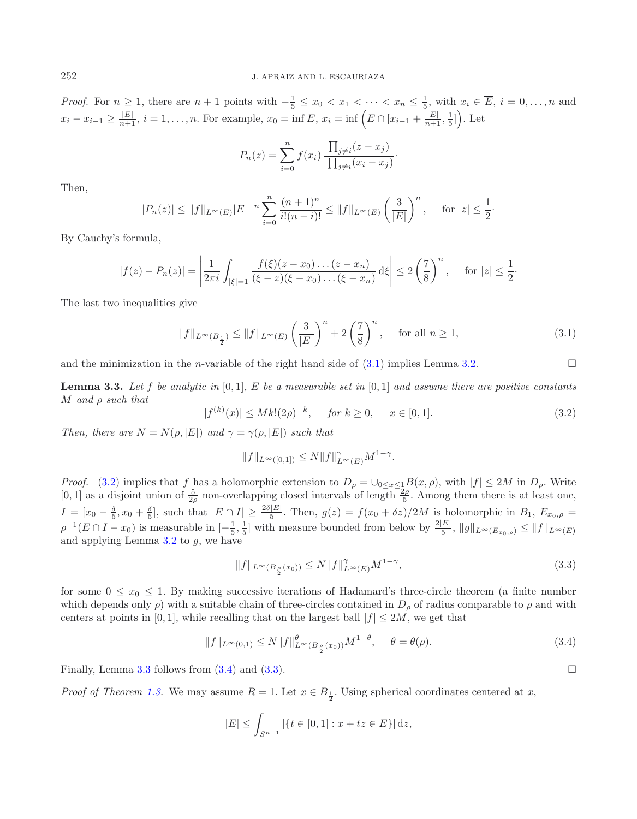*Proof.* For  $n \geq 1$ , there are  $n+1$  points with  $-\frac{1}{5} \leq x_0 < x_1 < \cdots < x_n \leq \frac{1}{5}$ , with  $x_i \in \overline{E}$ ,  $i = 0, \ldots, n$  and  $x_i - x_{i-1} \ge \frac{|E|}{n+1}, i = 1, \ldots, n.$  For example,  $x_0 = \inf E, x_i = \inf \left( E \cap [x_{i-1} + \frac{|E|}{n+1}, \frac{1}{5}] \right)$ . Let

$$
P_n(z) = \sum_{i=0}^n f(x_i) \frac{\prod_{j \neq i} (z - x_j)}{\prod_{j \neq i} (x_i - x_j)}.
$$

Then,

<span id="page-13-0"></span>
$$
|P_n(z)| \le ||f||_{L^{\infty}(E)} |E|^{-n} \sum_{i=0}^n \frac{(n+1)^n}{i!(n-i)!} \le ||f||_{L^{\infty}(E)} \left(\frac{3}{|E|}\right)^n, \quad \text{for } |z| \le \frac{1}{2}.
$$

<span id="page-13-1"></span>By Cauchy's formula,

$$
|f(z) - P_n(z)| = \left| \frac{1}{2\pi i} \int_{|\xi|=1} \frac{f(\xi)(z - x_0) \dots (z - x_n)}{(\xi - z)(\xi - x_0) \dots (\xi - x_n)} d\xi \right| \le 2\left(\frac{7}{8}\right)^n, \quad \text{for } |z| \le \frac{1}{2}.
$$

The last two inequalities give

$$
||f||_{L^{\infty}(B_{\frac{1}{2}})} \le ||f||_{L^{\infty}(E)} \left(\frac{3}{|E|}\right)^{n} + 2\left(\frac{7}{8}\right)^{n}, \quad \text{for all } n \ge 1,
$$
\n(3.1)

<span id="page-13-2"></span>and the minimization in the *n*-variable of the right hand side of  $(3.1)$  implies Lemma [3.2.](#page-12-5)

**Lemma 3.3.** Let f be analytic in  $[0,1]$ , E be a measurable set in  $[0,1]$  and assume there are positive constants M *and* ρ *such that*

<span id="page-13-4"></span>
$$
|f^{(k)}(x)| \le Mk!(2\rho)^{-k}, \quad \text{for } k \ge 0, \quad x \in [0,1]. \tag{3.2}
$$

*Then, there are*  $N = N(\rho, |E|)$  *and*  $\gamma = \gamma(\rho, |E|)$  *such that* 

<span id="page-13-3"></span>
$$
||f||_{L^{\infty}([0,1])} \leq N||f||_{L^{\infty}(E)}^{\gamma}M^{1-\gamma}.
$$

*Proof.* [\(3.2\)](#page-13-1) implies that f has a holomorphic extension to  $D_\rho = \bigcup_{0 \le x \le 1} B(x, \rho)$ , with  $|f| \le 2M$  in  $D_\rho$ . Write [0, 1] as a disjoint union of  $\frac{5}{2\rho}$  non-overlapping closed intervals of length  $\frac{2\rho}{5}$ . Among them there is at least one,  $I = [x_0 - \frac{\delta}{5}, x_0 + \frac{\delta}{5}],$  such that  $|E \cap I| \ge \frac{2\delta |E|}{5}$ . Then,  $g(z) = f(x_0 + \delta z)/2M$  is holomorphic in  $B_1, E_{x_0, \rho} =$  $\rho^{-1}(E \cap I - x_0)$  is measurable in  $\left[-\frac{1}{5}, \frac{1}{5}\right]$  with measure bounded from below by  $\frac{2|E|}{5}$ ,  $||g||_{L^{\infty}(E_{x_0, \rho})} \leq ||f||_{L^{\infty}(E)}$ and applying Lemma  $3.2$  to  $q$ , we have

$$
||f||_{L^{\infty}(B_{\frac{\rho}{2}}(x_0))} \le N ||f||_{L^{\infty}(E)}^{\gamma} M^{1-\gamma}, \tag{3.3}
$$

for some  $0 \le x_0 \le 1$ . By making successive iterations of Hadamard's three-circle theorem (a finite number which depends only  $\rho$ ) with a suitable chain of three-circles contained in  $D_{\rho}$  of radius comparable to  $\rho$  and with centers at points in [0, 1], while recalling that on the largest ball  $|f| \leq 2M$ , we get that

$$
||f||_{L^{\infty}(0,1)} \le N ||f||_{L^{\infty}(B_{\frac{\rho}{2}}(x_0))}^{q} M^{1-\theta}, \quad \theta = \theta(\rho). \tag{3.4}
$$

Finally, Lemma [3.3](#page-13-2) follows from  $(3.4)$  and  $(3.3)$ .

*Proof of Theorem [1.3.](#page-1-3)* We may assume  $R = 1$ . Let  $x \in B_{\frac{1}{2}}$ . Using spherical coordinates centered at x,

$$
|E| \le \int_{S^{n-1}} |\{t \in [0,1] : x + tz \in E\}| \, \mathrm{d}z,
$$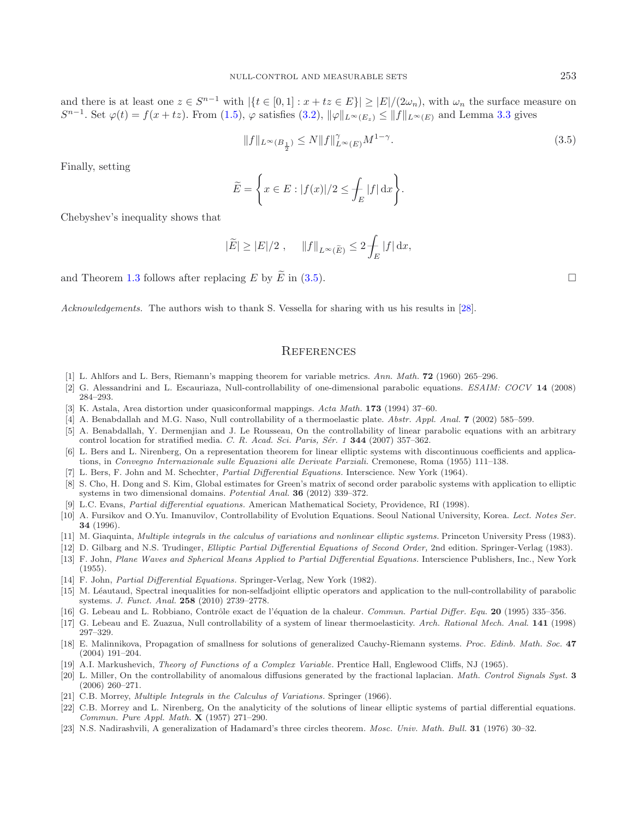and there is at least one  $z \in S^{n-1}$  with  $|\{t \in [0,1] : x + tz \in E\}| \geq |E|/(2\omega_n)$ , with  $\omega_n$  the surface measure on  $S^{n-1}$ . Set  $\varphi(t) = f(x + tz)$ . From [\(1.5\)](#page-2-1),  $\varphi$  satisfies [\(3.2\)](#page-13-1),  $\|\varphi\|_{L^{\infty}(E_z)} \le \|f\|_{L^{\infty}(E)}$  and Lemma [3.3](#page-13-2) gives

<span id="page-14-23"></span>
$$
||f||_{L^{\infty}(B_{\frac{1}{2}})} \le N ||f||_{L^{\infty}(E)}^{\gamma} M^{1-\gamma}.
$$
\n(3.5)

Finally, setting

$$
\widetilde{E} = \left\{ x \in E : |f(x)|/2 \le \int_E |f| \, dx \right\}.
$$

Chebyshev's inequality shows that

$$
|\widetilde{E}| \ge |E|/2
$$
,  $||f||_{L^{\infty}(\widetilde{E})} \le 2 \int_{E} |f| dx$ ,

and Theorem [1.3](#page-1-3) follows after replacing E by  $\tilde{E}$  in [\(3.5\)](#page-14-23).

*Acknowledgements.* The authors wish to thank S. Vessella for sharing with us his results in [\[28](#page-15-1)].

#### **REFERENCES**

- [1] L. Ahlfors and L. Bers, Riemann's mapping theorem for variable metrics. Ann. Math. **72** (1960) 265–296.
- <span id="page-14-12"></span><span id="page-14-7"></span>[2] G. Alessandrini and L. Escauriaza, Null-controllability of one-dimensional parabolic equations. ESAIM: COCV **14** (2008) 284–293.
- <span id="page-14-17"></span>[3] K. Astala, Area distortion under quasiconformal mappings. Acta Math. **173** (1994) 37–60.
- <span id="page-14-3"></span>[4] A. Benabdallah and M.G. Naso, Null controllability of a thermoelastic plate. Abstr. Appl. Anal. **7** (2002) 585–599.
- <span id="page-14-5"></span>[5] A. Benabdallah, Y. Dermenjian and J. Le Rousseau, On the controllability of linear parabolic equations with an arbitrary control location for stratified media. C. R. Acad. Sci. Paris, Sér. 1 **344** (2007) 357–362.
- <span id="page-14-13"></span>[6] L. Bers and L. Nirenberg, On a representation theorem for linear elliptic systems with discontinuous coefficients and applications, in Convegno Internazionale sulle Equazioni alle Derivate Parziali. Cremonese, Roma (1955) 111–138.
- [7] L. Bers, F. John and M. Schechter, Partial Differential Equations. Interscience. New York (1964).
- <span id="page-14-21"></span><span id="page-14-14"></span>[8] S. Cho, H. Dong and S. Kim, Global estimates for Green's matrix of second order parabolic systems with application to elliptic systems in two dimensional domains. Potential Anal. **36** (2012) 339–372.
- [9] L.C. Evans, Partial differential equations. American Mathematical Society, Providence, RI (1998).
- <span id="page-14-16"></span><span id="page-14-1"></span>[10] A. Fursikov and O.Yu. Imanuvilov, Controllability of Evolution Equations. Seoul National University, Korea. Lect. Notes Ser. **34** (1996).
- <span id="page-14-19"></span>[11] M. Giaquinta, Multiple integrals in the calculus of variations and nonlinear elliptic systems. Princeton University Press (1983).
- <span id="page-14-15"></span>[12] D. Gilbarg and N.S. Trudinger, Elliptic Partial Differential Equations of Second Order, 2nd edition. Springer-Verlag (1983).
- <span id="page-14-11"></span>[13] F. John, Plane Waves and Spherical Means Applied to Partial Differential Equations. Interscience Publishers, Inc., New York (1955).
- <span id="page-14-18"></span>[14] F. John, *Partial Differential Equations*. Springer-Verlag, New York (1982).
- <span id="page-14-6"></span>[15] M. Léautaud, Spectral inequalities for non-selfadjoint elliptic operators and application to the null-controllability of parabolic systems. J. Funct. Anal. **258** (2010) 2739–2778.
- <span id="page-14-0"></span>[16] G. Lebeau and L. Robbiano, Contrôle exact de l'équation de la chaleur. Commun. Partial Differ. Equ. 20 (1995) 335–356.
- <span id="page-14-2"></span>[17] G. Lebeau and E. Zuazua, Null controllability of a system of linear thermoelasticity. Arch. Rational Mech. Anal. **141** (1998) 297–329.
- <span id="page-14-9"></span>[18] E. Malinnikova, Propagation of smallness for solutions of generalized Cauchy-Riemann systems. Proc. Edinb. Math. Soc. **47** (2004) 191–204.
- <span id="page-14-22"></span>[19] A.I. Markushevich, Theory of Functions of a Complex Variable. Prentice Hall, Englewood Cliffs, NJ (1965).
- <span id="page-14-4"></span>[20] L. Miller, On the controllability of anomalous diffusions generated by the fractional laplacian. Math. Control Signals Syst. **3** (2006) 260–271.
- <span id="page-14-10"></span>[21] C.B. Morrey, *Multiple Integrals in the Calculus of Variations*. Springer (1966).
- <span id="page-14-20"></span>[22] C.B. Morrey and L. Nirenberg, On the analyticity of the solutions of linear elliptic systems of partial differential equations. Commun. Pure Appl. Math. **X** (1957) 271–290.
- <span id="page-14-8"></span>[23] N.S. Nadirashvili, A generalization of Hadamard's three circles theorem. Mosc. Univ. Math. Bull. **31** (1976) 30–32.